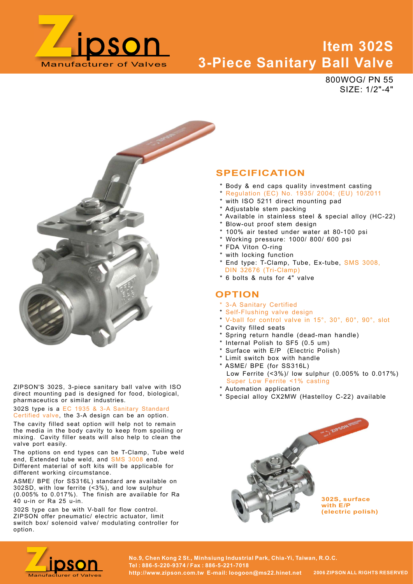

# Manufacturer of Valves 3-Piece Sanitary Ball Valve Item 302S

800WOG/ PN 55 SIZE: 1/2"-4"



ZIPSON'S 302S, 3-piece sanitary ball valve with ISO direct mounting pad is designed for food, biological, pharmaceutics or similar industries.

302S type is a EC 1935 & 3-A Sanitary Standard Certified valve, the 3-A design can be an option.

The cavity filled seat option will help not to remain the media in the body cavity to keep from spoiling or mixing. Cavity filler seats will also help to clean the valve port easily.

The options on end types can be T-Clamp, Tube weld<br>end, Extended tube weld, and SMS 3008 end. Different material of soft kits will be applicable for different working circumstance.

ASME/ BPE (for SS316L) standard are available on (0.005% to 0.017%). The finish are available for Ra 40 u-in or Ra 25 u-in.

switch box/ solenoid valve/ modulating controller for option.

## SPECIFICATION

- \* Body & end caps quality investment casting
- \* Regulation (EC) No. 1935/ 2004; (EU) 10/2011
- \* with ISO 5211 direct mounting pad
- \* Adjustable stem packing
- \* Available in stainless steel & special alloy (HC-22)
- \* Blow-out proof stem design
- \* 100% air tested under water at 80-100 psi
- \* Working pressure: 1000/ 800/ 600 psi
- \* FDA Viton O-ring
- \* with locking function
- \* End type: T-Clamp, Tube, Ex-tube, SMS 3008, DIN 32676 (Tri-Clamp)
- \* 6 bolts & nuts for 4" valve

#### **OPTION**

- \* 3-A Sanitary Certified
- \* Self-Flushing valve design
- \* V-ball for control valve in 15°, 30°, 60°, 90°, slot
- \* Cavity filled seats
- \* Spring return handle (dead-man handle)
- \* Internal Polish to SF5 (0.5 um)
- 
- 
- **SPECIFICATION**<br>
\* Body & end caps quality investment casting<br>
\* Negulation (EC) No. 1935/2004; (EU) 10/2011<br>
\* with ISO 5211 direct mounting pad<br>
\* Adjustable is transless steel & special alloy (HC-22)<br>
\* New-out proof s \* ASME/ BPE (for SS316L) \* Regulation (EC) No. 1935/ 2004; (EU) 10/2011<br>\* with ISO 5211 direct mounting pad<br>\* Available in stainless steel & special alloy (HC-22)<br>\* Available in stainless steel & special alloy (HC-22)<br>\* 100% air tested under water \* Mill ISO 5211 direct mountling pad<br>\* Adjustable stem packing<br>\* Available in stainless steel & special alloy (HC-22)<br>\* 100% air tested under water at 80-100 psi<br>\* Working freesure: 1000/800/600 psi<br>\* Tow So in tested unde
- \* Automation application
- \* Special alloy CX2MW (Hastelloy C-22) available





No.9, Chen Kong 2 St., Minhsiung Industrial Park, Chia-Yi, Taiwan, R.O.C.<br>Tel : 886-5-220-9374 / Fax : 886-5-221-7018<br>http://www.zipson.com.tw\_E-mail: loogoon@ms22.hinet.net 2006 ZIPSON ALL RIGHTS RESERVED Tel : 886-5-220-9374 / Fax : 886-5-221-7018 http://www.zipson.com.tw E-mail: loogoon@ms22.hinet.net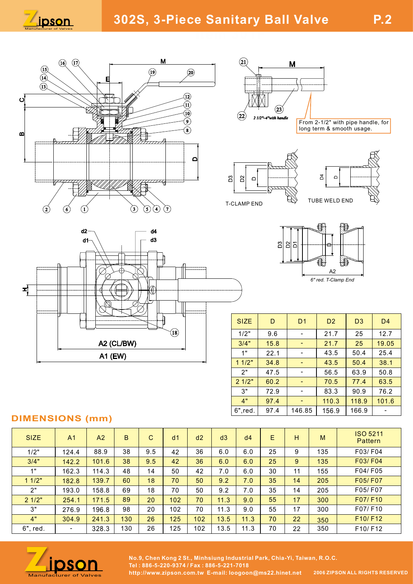













| $\Xi$<br>$\mathbf{S}$<br>$\qquad \qquad \Box$<br>$\Omega$<br>TUBE WELD END<br>LAMP END       |             |                               |                                          |     |                |                |                          |  |  |  |  |  |  |
|----------------------------------------------------------------------------------------------|-------------|-------------------------------|------------------------------------------|-----|----------------|----------------|--------------------------|--|--|--|--|--|--|
| $\bigoplus$<br>의 의의<br>≏<br>題<br>€<br>$\mathsf{A}2$<br>6" red. T-Clamp End<br>D <sub>2</sub> |             |                               |                                          |     |                |                |                          |  |  |  |  |  |  |
|                                                                                              | <b>SIZE</b> | $\mathsf D$<br>D <sub>1</sub> |                                          |     | D <sub>3</sub> | D <sub>4</sub> |                          |  |  |  |  |  |  |
| 1/2"<br>9.6<br>$\overline{\phantom{a}}$                                                      |             |                               | 21.7                                     | 25  | 12.7           |                |                          |  |  |  |  |  |  |
|                                                                                              | 3/4"        | 15.8                          | $\blacksquare$                           |     | 21.7           | 25             | 19.05                    |  |  |  |  |  |  |
|                                                                                              | 1"          |                               | 22.1<br>43.5<br>$\overline{\phantom{a}}$ |     |                | 50.4           | 25.4                     |  |  |  |  |  |  |
|                                                                                              | 11/2"<br>2" | 34.8                          | $\blacksquare$<br>$\blacksquare$         |     | 43.5<br>56.5   | 50.4<br>63.9   | 38.1<br>50.8             |  |  |  |  |  |  |
|                                                                                              | 21/2"       | 47.5<br>60.2                  | ٠                                        |     | 70.5           | 77.4           | 63.5                     |  |  |  |  |  |  |
|                                                                                              | 3"          | 72.9                          | $\overline{\phantom{a}}$                 |     | 83.3           | 90.9           | 76.2                     |  |  |  |  |  |  |
|                                                                                              | 4"          | 97.4                          | $\blacksquare$                           |     | 110.3          | 118.9          | 101.6                    |  |  |  |  |  |  |
|                                                                                              | $6$ ", red. | 97.4                          | 146.85                                   |     | 156.9          | 166.9          | $\overline{\phantom{m}}$ |  |  |  |  |  |  |
| <b>ISO 5211</b><br>E<br>d4<br>н<br>M<br>Pattern                                              |             |                               |                                          |     |                |                |                          |  |  |  |  |  |  |
|                                                                                              | $6.0\,$     | 25                            | $\boldsymbol{9}$                         | 135 |                | F03/F04        |                          |  |  |  |  |  |  |
|                                                                                              | 6.0         | 25                            | $\boldsymbol{9}$                         | 135 |                | F03/F04        |                          |  |  |  |  |  |  |
|                                                                                              | $6.0\,$     | 30                            | 11                                       | 155 |                | F04/F05        |                          |  |  |  |  |  |  |
|                                                                                              | 7.0         | 35                            | 14                                       | 205 |                | F05/F07        |                          |  |  |  |  |  |  |
|                                                                                              | $7.0$       | 35                            | 14                                       | 205 |                | F05/F07        |                          |  |  |  |  |  |  |
|                                                                                              | 9.0         | 55                            | 17                                       | 300 |                | F07/F10        |                          |  |  |  |  |  |  |
|                                                                                              | 9.0         | 55                            | 17                                       | 300 |                | F07/F10        |                          |  |  |  |  |  |  |

## DIMENSIONS (mm)

|             |                |                        |                      |              |                |                                           |      |                                                                           |      |                | A <sub>2</sub>      | a.                         |                                                                                      |  |
|-------------|----------------|------------------------|----------------------|--------------|----------------|-------------------------------------------|------|---------------------------------------------------------------------------|------|----------------|---------------------|----------------------------|--------------------------------------------------------------------------------------|--|
| ᅿ           |                |                        | $\sqrt{\frac{1}{2}}$ |              |                |                                           |      |                                                                           |      |                | 6" red. T-Clamp End |                            |                                                                                      |  |
|             |                |                        |                      |              |                |                                           |      | <b>SIZE</b>                                                               | D    | D <sub>1</sub> | D <sub>2</sub>      | D <sub>3</sub>             | D <sub>4</sub>                                                                       |  |
|             |                |                        |                      |              | $\mathbf{(s)}$ |                                           |      | 1/2"                                                                      | 9.6  | $\sim$         | 21.7                | 25                         | 12.7                                                                                 |  |
|             |                |                        | A2 (CL/BW)           |              |                |                                           |      | 3/4"                                                                      | 15.8 | $\sim$         | 21.7                | 25                         | 19.05                                                                                |  |
|             |                | A1 (EW)                |                      |              |                |                                           |      | 1"                                                                        | 22.1 | $\sim$         | 43.5                | 50.4                       | 25.4                                                                                 |  |
|             |                |                        |                      |              |                |                                           |      | 11/2"                                                                     | 34.8 | $\blacksquare$ | 43.5                | 50.4                       | 38.1                                                                                 |  |
|             |                |                        |                      |              |                |                                           |      | 2"                                                                        | 47.5 | $\sim$         | 56.5                | 63.9                       | 50.8                                                                                 |  |
|             |                |                        |                      |              |                |                                           |      | 21/2"                                                                     | 60.2 | $\blacksquare$ | 70.5                | 77.4                       | 63.5                                                                                 |  |
|             |                |                        |                      |              |                |                                           |      | 3"                                                                        | 72.9 | $\sim$         | 83.3                | 90.9                       | 76.2                                                                                 |  |
|             |                |                        |                      |              |                |                                           |      | 4"                                                                        | 97.4 | ÷.             | 110.3               | 118.9                      | 101.6                                                                                |  |
|             |                | <b>DIMENSIONS (mm)</b> |                      |              |                |                                           |      | $6$ ", red.                                                               | 97.4 | 146.85         | 156.9               | 166.9                      | $\overline{\phantom{a}}$                                                             |  |
|             |                |                        |                      |              |                |                                           |      |                                                                           |      |                |                     |                            |                                                                                      |  |
| <b>SIZE</b> | A1             | A2                     | $\mathsf B$          | $\mathsf{C}$ | d1             | d2                                        | d3   | d4                                                                        | E.   | H              | M                   | <b>ISO 5211</b><br>Pattern |                                                                                      |  |
| 1/2"        | 124.4          | 88.9                   | 38                   | 9.5          | 42             | 36                                        | 6.0  | 6.0                                                                       | 25   | 9              | 135                 | F03/F04                    |                                                                                      |  |
| 3/4"        | 142.2          | 101.6                  | 38                   | 9.5          | 42             | 36                                        | 6.0  | 6.0                                                                       | 25   | 9              | 135                 | F03/F04                    |                                                                                      |  |
| 1"          | 162.3          | 114.3                  | 48                   | 14           | 50             | 42                                        | 7.0  | 6.0                                                                       | 30   | 11             | 155                 | F04/F05                    |                                                                                      |  |
| 11/2"       | 182.8          | 139.7                  | 60                   | 18           | 70             | 50                                        | 9.2  | 7.0                                                                       | 35   | 14             | 205                 | F05/F07                    |                                                                                      |  |
| 2"          | 193.0          | 158.8                  | 69                   | 18           | 70             | 50                                        | 9.2  | 7.0                                                                       | 35   | 14             | 205                 | F05/F07                    |                                                                                      |  |
| 21/2"       | 254.1          | 171.5                  | 89                   | 20           | 102            | 70                                        | 11.3 | 9.0                                                                       | 55   | 17             | 300                 | F07/F10                    |                                                                                      |  |
| 3"          | 276.9          | 196.8                  | 98                   | 20           | 102            | 70                                        | 11.3 | 9.0                                                                       | 55   | 17             | 300                 | F07/F10                    |                                                                                      |  |
| 4"          | 304.9          | 241.3                  | 130                  | 26           | 125            | 102                                       | 13.5 | 11.3                                                                      | 70   | 22             | 350                 | F10/F12                    |                                                                                      |  |
| 6", red.    | $\blacksquare$ | 328.3                  | 130                  | 26           | 125            | 102                                       | 13.5 | 11.3                                                                      | 70   | 22             | 350                 | F10/F12                    |                                                                                      |  |
|             |                |                        |                      |              |                |                                           |      |                                                                           |      |                |                     |                            |                                                                                      |  |
|             | <u>ipson</u>   |                        |                      |              |                | Tel: 886-5-220-9374 / Fax: 886-5-221-7018 |      | No.9, Chen Kong 2 St., Minhsiung Industrial Park, Chia-Yi, Taiwan, R.O.C. |      |                |                     |                            | http://www.zinson.com.tw. F-mail: Ioogoon@ms22.hinet.net 2006ZIPSONALLRIGHTSRESERVED |  |



No.9, Chen Kong 2 St., Minhsiung Industrial Park, Chia-Yi, Taiwan, R.O.C.<br>Manufacturer of Valves http://www.zipson.com.tw E-mail: loogoon@ms22.hinet.net 2006 ZIPSON ALL RIGHTS RESERVED Tel : 886-5-220-9374 / Fax : 886-5-221-7018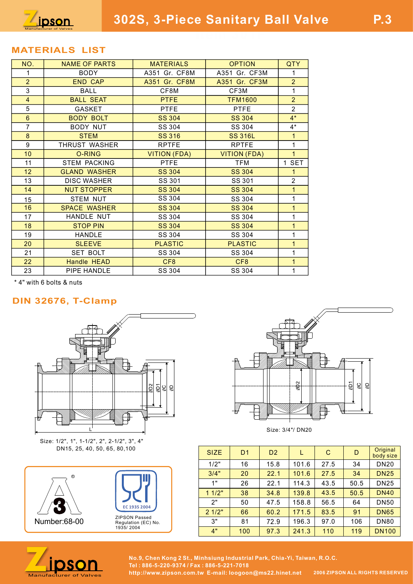

### MATERIALS LIST

| NO.             | <b>NAME OF PARTS</b> | <b>MATERIALS</b> | <b>OPTION</b>       | QTY              |
|-----------------|----------------------|------------------|---------------------|------------------|
| -1              | <b>BODY</b>          | A351 Gr. CF8M    | A351 Gr. CF3M       | 1                |
| $\overline{2}$  | <b>END CAP</b>       | A351 Gr. CF8M    | A351 Gr. CF3M       | $\overline{2}$   |
| 3               | BALL                 | CF8M             | CF3M                | 1                |
| $\overline{4}$  | <b>BALL SEAT</b>     | <b>PTFE</b>      | <b>TFM1600</b>      | $\overline{2}$   |
| 5               | GASKET               | <b>PTFE</b>      | <b>PTFE</b>         | $\overline{2}$   |
| $6^{\circ}$     | <b>BODY BOLT</b>     | <b>SS 304</b>    | <b>SS 304</b>       | $4*$             |
| $\overline{7}$  | <b>BODY NUT</b>      | SS 304           | SS 304              | $4^*$            |
| 8               | <b>STEM</b>          | <b>SS 316</b>    | <b>SS 316L</b>      | $\mathbf{1}$     |
| 9               | THRUST WASHER        | <b>RPTFE</b>     | <b>RPTFE</b>        | 1                |
| 10              | O-RING               | VITION (FDA)     | <b>VITION (FDA)</b> | $\mathbf{1}$     |
| 11              | <b>STEM PACKING</b>  | <b>PTFE</b>      | TFM                 | <b>SET</b><br>-1 |
| 12 <sup>°</sup> | <b>GLAND WASHER</b>  | <b>SS 304</b>    | <b>SS 304</b>       | 1.               |
| 13              | <b>DISC WASHER</b>   | SS 301           | SS 301              | $\overline{c}$   |
| 14              | <b>NUT STOPPER</b>   | <b>SS 304</b>    | <b>SS 304</b>       | 1                |
| 15              | <b>STEM NUT</b>      | SS 304           | SS 304              | 1                |
| 16              | <b>SPACE WASHER</b>  | <b>SS 304</b>    | <b>SS 304</b>       | $\mathbf{1}$     |
| 17              | HANDLE NUT           | SS 304           | SS 304              | 1                |
| 18              | <b>STOP PIN</b>      | <b>SS 304</b>    | <b>SS 304</b>       | 1                |
| 19              | <b>HANDLE</b>        | SS 304           | SS 304              | 1                |
| 20              | <b>SLEEVE</b>        | <b>PLASTIC</b>   | <b>PLASTIC</b>      | $\mathbf 1$      |
| 21              | SET BOLT             | SS 304           | SS 304              | 1                |
| 22 <sub>2</sub> | Handle HEAD          | CF8              | CF8                 | 1                |
| 23              | PIPE HANDLE          | SS 304           | SS 304              |                  |
|                 |                      |                  |                     |                  |

\* 4" with 6 bolts & nuts

### DIN 32676, T-Clamp



Size: 1/2", 1", 1-1/2", 2", 2-1/2", 3", 4" DN15, 25, 40, 50, 65, 80,100







| $\overline{2}$<br>$\frac{5}{8}$<br>$\overline{\mathcal{Q}}$ |                                                                                                                        |                |                | øф <sub>2</sub><br>Size: 3/4"/ DN20 |             | $\overline{\Xi}$<br>$\frac{1}{2}$<br>$\overline{6}$ |                                        |
|-------------------------------------------------------------|------------------------------------------------------------------------------------------------------------------------|----------------|----------------|-------------------------------------|-------------|-----------------------------------------------------|----------------------------------------|
| $1/2$ ", $3$ ", $4$ "<br>80,100                             | <b>SIZE</b>                                                                                                            | D <sub>1</sub> | D <sub>2</sub> | L                                   | $\mathbf C$ | $\mathsf{D}$                                        | Original<br>body size                  |
|                                                             | 1/2"                                                                                                                   | 16             | 15.8           | 101.6                               | 27.5        | 34                                                  | <b>DN20</b>                            |
|                                                             | 3/4"                                                                                                                   | 20             | 22.1           | 101.6                               | 27.5        | 34                                                  | <b>DN25</b>                            |
|                                                             | 1"                                                                                                                     | 26             | 22.1           | 114.3                               | 43.5        | 50.5                                                | <b>DN25</b>                            |
|                                                             | 11/2"                                                                                                                  | 38             | 34.8           | 139.8                               | 43.5        | 50.5                                                | <b>DN40</b>                            |
|                                                             | 2"                                                                                                                     | 50             | 47.5           | 158.8                               | 56.5        | 64                                                  | <b>DN50</b>                            |
| EC 1935 2004                                                | 21/2"                                                                                                                  | 66             | 60.2           | 171.5                               | 83.5        | 91                                                  | <b>DN65</b>                            |
| ZIPSON Passed<br>Regulation (EC) No.                        | 3"                                                                                                                     | 81             | 72.9           | 196.3                               | 97.0        | 106                                                 | <b>DN80</b>                            |
| 1935/2004                                                   | 4"                                                                                                                     | 100            | 97.3           | 241.3                               | 110         | 119                                                 | <b>DN100</b>                           |
| http://www.zipson.com.tw E-mail: loogoon@ms22.hinet.net     | No.9, Chen Kong 2 St., Minhsiung Industrial Park, Chia-Yi, Taiwan, R.O.C.<br>Tel: 886-5-220-9374 / Fax: 886-5-221-7018 |                |                |                                     |             |                                                     | <b>2006 ZIPSON ALL RIGHTS RESERVED</b> |



No.9, Chen Kong 2 St., Minhsiung Industrial Park, Chia-Yi, Taiwan, R.O.C.<br>Manufacturer of Valves http://www.zipson.com.tw E-mail: loogoon@ms22.hinet.net 2006 ZIPSON ALL RIGHTS RESERVED Tel : 886-5-220-9374 / Fax : 886-5-221-7018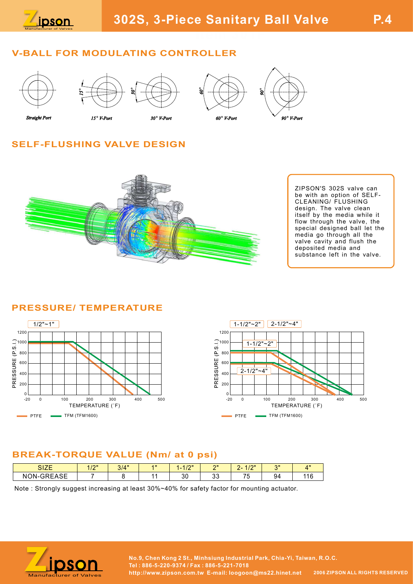

## V-BALL FOR MODULATING CONTROLLER



**Straight Port** 







# SELF-FLUSHING VALVE DESIGN



ZIPSON'S 302S valve can be with an option of SELF-CLEANING/ FLUSHING design. The valve clean itself by the media while it flow through the valve, the special designed ball let the media go through all the valve cavity and flush the deposited media and substance left in the valve.

### PRESSURE/ TEMPERATURE





## BREAK-TORQUE VALUE (Nm/ at 0 psi)

| 017F<br>◡╷▃∟ | 4.10H<br>''' | 314"<br>$\mathsf{u}$ | $A$ <sub>II</sub> | 10W<br>-<br>''' | $^{\sim}$    | 10W<br>$\sim$<br>$\sim$                              | $^{\circ}$ | $A$ <sub>H</sub> |
|--------------|--------------|----------------------|-------------------|-----------------|--------------|------------------------------------------------------|------------|------------------|
| NON-GREASE   |              |                      |                   | n c<br>οU       | $\sim$<br>ັບ | $\overline{\phantom{a}}$<br>$\overline{\phantom{a}}$ | 94         | 44C<br>1 U       |

Note : Strongly suggest increasing at least 30%~40% for safety factor for mounting actuator.